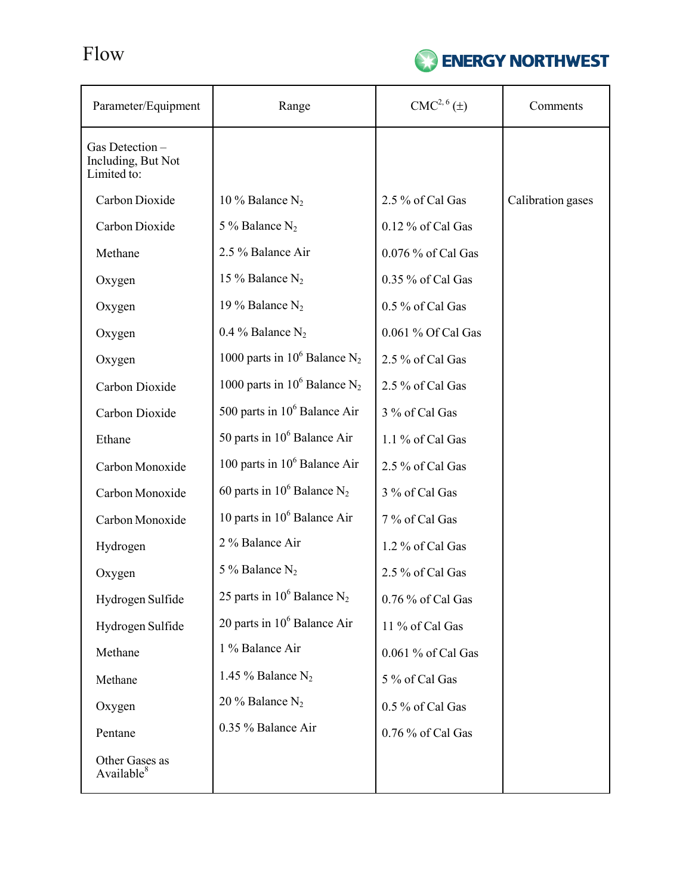Flow



| Parameter/Equipment                                 | Range                                       | CMC <sup>2, 6</sup> (±) | Comments          |
|-----------------------------------------------------|---------------------------------------------|-------------------------|-------------------|
| Gas Detection-<br>Including, But Not<br>Limited to: |                                             |                         |                   |
| Carbon Dioxide                                      | 10 % Balance $N_2$                          | 2.5 % of Cal Gas        | Calibration gases |
| Carbon Dioxide                                      | 5 % Balance $N_2$                           | 0.12 % of Cal Gas       |                   |
| Methane                                             | 2.5 % Balance Air                           | 0.076 % of Cal Gas      |                   |
| Oxygen                                              | 15 % Balance $N_2$                          | 0.35 % of Cal Gas       |                   |
| Oxygen                                              | 19 % Balance $N_2$                          | 0.5 % of Cal Gas        |                   |
| Oxygen                                              | 0.4 % Balance $N_2$                         | 0.061 % Of Cal Gas      |                   |
| Oxygen                                              | 1000 parts in $10^6$ Balance N <sub>2</sub> | 2.5 % of Cal Gas        |                   |
| Carbon Dioxide                                      | 1000 parts in $10^6$ Balance N <sub>2</sub> | 2.5 % of Cal Gas        |                   |
| Carbon Dioxide                                      | 500 parts in $10^6$ Balance Air             | 3 % of Cal Gas          |                   |
| Ethane                                              | 50 parts in $10^6$ Balance Air              | 1.1 % of Cal Gas        |                   |
| Carbon Monoxide                                     | 100 parts in $10^6$ Balance Air             | 2.5 % of Cal Gas        |                   |
| Carbon Monoxide                                     | 60 parts in $10^6$ Balance N <sub>2</sub>   | 3 % of Cal Gas          |                   |
| Carbon Monoxide                                     | 10 parts in $10^6$ Balance Air              | 7 % of Cal Gas          |                   |
| Hydrogen                                            | 2 % Balance Air                             | 1.2 % of Cal Gas        |                   |
| Oxygen                                              | 5 % Balance $N_2$                           | 2.5 % of Cal Gas        |                   |
| Hydrogen Sulfide                                    | 25 parts in $10^6$ Balance N <sub>2</sub>   | 0.76 % of Cal Gas       |                   |
| Hydrogen Sulfide                                    | 20 parts in $10^6$ Balance Air              | 11 % of Cal Gas         |                   |
| Methane                                             | 1 % Balance Air                             | 0.061 % of Cal Gas      |                   |
| Methane                                             | 1.45 % Balance $N_2$                        | 5 % of Cal Gas          |                   |
| Oxygen                                              | 20 % Balance $N_2$                          | 0.5 % of Cal Gas        |                   |
| Pentane                                             | 0.35 % Balance Air                          | 0.76 % of Cal Gas       |                   |
| Other Gases as<br>Available <sup>8</sup>            |                                             |                         |                   |